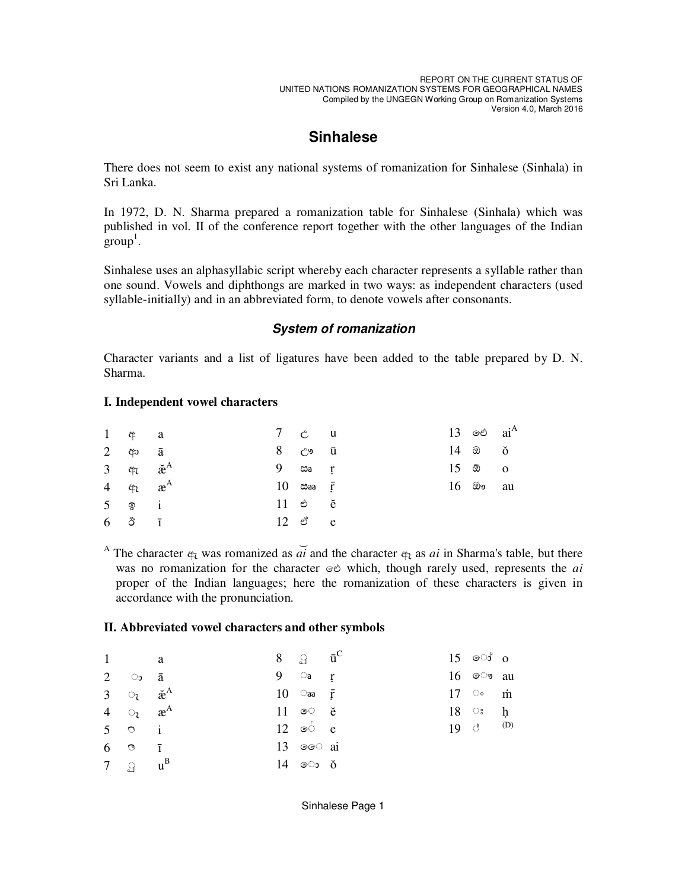REPORT ON THE CURRENT STATUS OF UNITED NATIONS ROMANIZATION SYSTEMS FOR GEOGRAPHICAL NAMES Compiled by the UNGEGN Working Group on Romanization Systems Version 4.0, March 2016

# **Sinhalese**

There does not seem to exist any national systems of romanization for Sinhalese (Sinhala) in Sri Lanka.

In 1972, D. N. Sharma prepared a romanization table for Sinhalese (Sinhala) which was published in vol. II of the conference report together with the other languages of the Indian  $\text{group}^1$ .

Sinhalese uses an alphasyllabic script whereby each character represents a syllable rather than one sound. Vowels and diphthongs are marked in two ways: as independent characters (used syllable-initially) and in an abbreviated form, to denote vowels after consonants.

### **System of romanization**

Character variants and a list of ligatures have been added to the table prepared by D. N. Sharma.

#### **I. Independent vowel characters**

| $1 \quad \phi \quad a$                        |  | 7 c u                        |  | 13 ඓ $ai^A$                         |  |
|-----------------------------------------------|--|------------------------------|--|-------------------------------------|--|
| 2 $\phi$ $\bar{a}$                            |  | 8 ඌ ū                        |  | $14$ $\otimes$ $\check{\mathrm{o}}$ |  |
| 3 $\ddot{q}_l$ $\ddot{a}^A$                   |  | $9$ $\omega$ a r             |  | $15 \text{ }^{\circ}$ 0             |  |
| 4 $\varphi$ <sub>c</sub> $x^A$                |  | $10$ $\cos \theta$ $\bar{r}$ |  | $16$ ඖ au                           |  |
| $5 \quad \circledcirc \quad i$                |  | $11$ $e$ $\ddot{e}$          |  |                                     |  |
| $6\quad\stackrel{.}{\circ}\quad\quad \bar{1}$ |  | $12 \text{ }$ ඒ e            |  |                                     |  |

A The character  $\phi$ <sup> $\bar{c}$ </sup> was romanized as *ai* and the character  $\phi$ <sub> $\bar{c}$ </sub> as *ai* in Sharma's table, but there was no romanization for the character ඓ which, though rarely used, represents the *ai* proper of the Indian languages; here the romanization of these characters is given in accordance with the pronunciation.

#### **II. Abbreviated vowel characters and other symbols**

| 1              |                                                          | a a | 8 $\mathfrak{g}$ $\bar{\mathfrak{u}}^{\mathsf{C}}$ |  | $15$ ො $\circ$ |  |
|----------------|----------------------------------------------------------|-----|----------------------------------------------------|--|----------------|--|
| $\overline{2}$ | ം ā                                                      |     | $9$ a r                                            |  | $16$ ⊚ෟ $au$   |  |
|                | 3 $\circ$ <sub>7</sub> $\check{\mathbf{e}}^{\mathbf{A}}$ |     | 10 $\circ$ aa F                                    |  | 17 $\circ$ m   |  |
|                | 4 $\circ$ <sub>7</sub> $\mathbf{a}^{\mathbf{A}}$         |     | 11 $\circ$ $\circ$ $\circ$                         |  | $18 \circ h$   |  |
|                | $5 \circ i$                                              |     | $12 \circ \circ e$                                 |  | 19 $\circ$ (D) |  |
|                | $6 \quad \circ \quad \bar{1}$                            |     | 13 $\circ \circ$ ai                                |  |                |  |
|                | 7 $\mathfrak{g}$ $\mathfrak{u}^{\mathbf{B}}$             |     | 14 ො ŏ                                             |  |                |  |